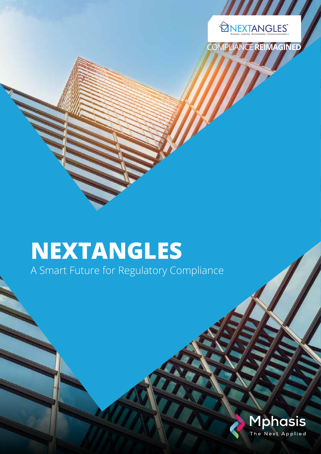

COMPLIANCE **REIMAGINED**

# **NEXTANGLES**

A Smart Future for Regulatory Compliance

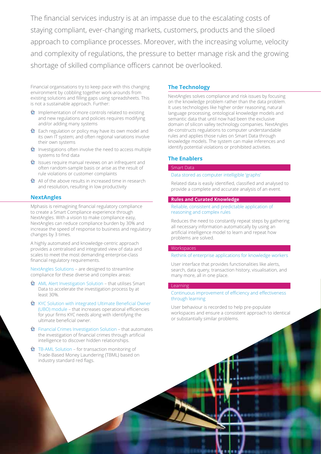The financial services industry is at an impasse due to the escalating costs of staying compliant, ever-changing markets, customers, products and the siloed approach to compliance processes. Moreover, with the increasing volume, velocity and complexity of regulations, the pressure to better manage risk and the growing shortage of skilled compliance officers cannot be overlooked.

Financial organisations try to keep pace with this changing environment by cobbling together work-arounds from existing solutions and filling gaps using spreadsheets. This is not a sustainable approach. Further:

- $\bigcirc$  Implementation of more controls related to existing and new regulations and policies requires modifying and/or adding many systems
- Each regulation or policy may have its own model and its own IT system; and often regional variations involve their own systems
- $\hat{\mathbf{\Omega}}$  Investigations often involve the need to access multiple systems to find data
- $\hat{\mathbf{\Omega}}$  Issues require manual reviews on an infrequent and often random-sample basis or arise as the result of rule violations or customer complaints
- $\hat{\mathbf{\Theta}}$  All of the above results in increased time in research and resolution, resulting in low productivity

## **NextAngles**

Mphasis is reimagining financial regulatory compliance to create a Smart Compliance experience through NextAngles. With a vision to make compliance easy, NextAngles can reduce compliance burden by 30% and increase the speed of response to business and regulatory changes by 3 times.

A highly automated and knowledge-centric approach provides a centralised and integrated view of data and scales to meet the most demanding enterprise-class financial regulatory requirements.

NextAngles Solutions – are designed to streamline compliance for these diverse and complex areas:

- AML Alert Investigation Solution that utilises Smart Data to accelerate the investigation process by at least 30%.
- **✿** KYC Solution with integrated Ultimate Beneficial Owner (UBO) module – that increases operational efficiencies for your firms KYC needs along with identifying the ultimate beneficial owner.
- $\bigcirc$  Financial Crimes Investigation Solution that automates the investigation of financial crimes through artificial intelligence to discover hidden relationships.
- $\hat{\mathbf{\Omega}}$  TB-AML Solution for transaction monitoring of Trade-Based Money Laundering (TBML) based on industry standard red flags.

## **The Technology**

NextAngles solves compliance and risk issues by focusing on the knowledge problem rather than the data problem. It uses technologies like higher order reasoning, natural language processing, ontological knowledge models and semantic data that until now had been the exclusive domain of silicon valley technology companies. NextAngles de-constructs regulations to computer understandable rules and applies those rules on Smart Data through knowledge models. The system can make inferences and identify potential violations or prohibited activities.

## **The Enablers**

## Smart Data Data stored as computer intelligible 'graphs'

Related data is easily identified, classified and analysed to provide a complete and accurate analysis of an event.

#### **Rules and Curated Knowledge**

Reliable, consistent and predictable application of reasoning and complex rules

Reduces the need to constantly repeat steps by gathering all necessary information automatically by using an artificial intelligence model to learn and repeat how problems are solved.

#### **Workspaces**

#### Rethink of enterprise applications for knowledge workers

User interface that provides functionalities like alerts, search, data query, transaction history, visualisation, and many more, all in one place.

#### Learning

### Continuous improvement of efficiency and effectiveness through learning

User behaviour is recorded to help pre-populate workspaces and ensure a consistent approach to identical or substantially similar problems.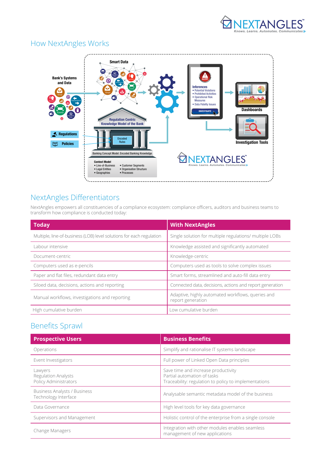



# HOW NEXTANGLES WORKS How NextAngles Works

# NextAngles Differentiators

NextAngles empowers all constituencies of a compliance ecosystem: compliance officers, auditors and business teams to transform how compliance is conducted today:

| <b>Today</b>                                                         | <b>With NextAngles</b>                                                 |
|----------------------------------------------------------------------|------------------------------------------------------------------------|
| Multiple, line-of-business (LOB) level solutions for each regulation | Single solution for multiple regulations/ multiple LOBs                |
| Labour intensive                                                     | Knowledge assisted and significantly automated                         |
| Document-centric                                                     | Knowledge-centric                                                      |
| Computers used as e-pencils                                          | Computers used as tools to solve complex issues                        |
| Paper and flat files, redundant data entry                           | Smart forms, streamlined and auto-fill data entry                      |
| Siloed data, decisions, actions and reporting                        | Connected data, decisions, actions and report generation               |
| Manual workflows, investigations and reporting                       | Adaptive, highly automated workflows, queries and<br>report generation |
| High cumulative burden                                               | ow cumulative burden                                                   |

# Benefits Sprawl

| <b>Prospective Users</b>                                       | <b>Business Benefits</b>                                                                                                    |
|----------------------------------------------------------------|-----------------------------------------------------------------------------------------------------------------------------|
| Operations                                                     | Simplify and rationalise IT systems landscape                                                                               |
| Event Investigators                                            | Full power of Linked Open Data principles                                                                                   |
| Lawyers<br><b>Regulation Analysts</b><br>Policy Administrators | Save time and increase productivity<br>Partial automation of tasks<br>Traceability: regulation to policy to implementations |
| <b>Business Analysts / Business</b><br>Technology Interface    | Analysable semantic metadata model of the business                                                                          |
| Data Governance                                                | High level tools for key data governance                                                                                    |
| Supervisors and Management                                     | Holistic control of the enterprise from a single console                                                                    |
| Change Managers                                                | Integration with other modules enables seamless<br>management of new applications                                           |